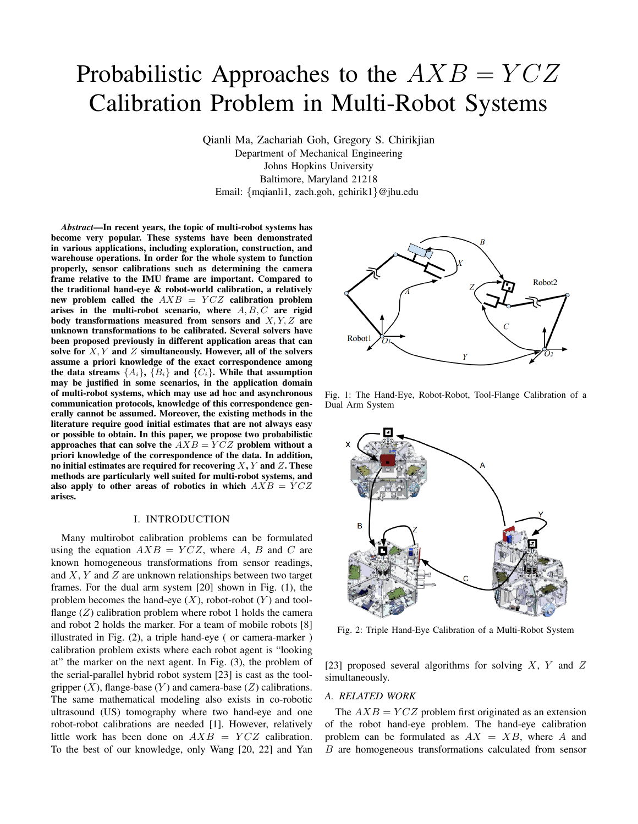# Probabilistic Approaches to the  $AXB = YCZ$ Calibration Problem in Multi-Robot Systems

Qianli Ma, Zachariah Goh, Gregory S. Chirikjian Department of Mechanical Engineering Johns Hopkins University Baltimore, Maryland 21218 Email: {mqianli1, zach.goh, gchirik1}@jhu.edu

*Abstract*—In recent years, the topic of multi-robot systems has become very popular. These systems have been demonstrated in various applications, including exploration, construction, and warehouse operations. In order for the whole system to function properly, sensor calibrations such as determining the camera frame relative to the IMU frame are important. Compared to the traditional hand-eye & robot-world calibration, a relatively new problem called the  $AXB = YCZ$  calibration problem arises in the multi-robot scenario, where  $A, B, C$  are rigid body transformations measured from sensors and  $X, Y, Z$  are unknown transformations to be calibrated. Several solvers have been proposed previously in different application areas that can solve for  $X, Y$  and  $Z$  simultaneously. However, all of the solvers assume a priori knowledge of the exact correspondence among the data streams  $\{A_i\}$ ,  $\{B_i\}$  and  $\{C_i\}$ . While that assumption may be justified in some scenarios, in the application domain of multi-robot systems, which may use ad hoc and asynchronous communication protocols, knowledge of this correspondence generally cannot be assumed. Moreover, the existing methods in the literature require good initial estimates that are not always easy or possible to obtain. In this paper, we propose two probabilistic approaches that can solve the  $\overline{AXB} = \overline{YCZ}$  problem without a priori knowledge of the correspondence of the data. In addition, no initial estimates are required for recovering  $X, Y$  and  $Z$ . These methods are particularly well suited for multi-robot systems, and also apply to other areas of robotics in which  $AXB = YCZ$ arises.

## I. INTRODUCTION

Many multirobot calibration problems can be formulated using the equation  $AXB = YCZ$ , where A, B and C are known homogeneous transformations from sensor readings, and  $X, Y$  and  $Z$  are unknown relationships between two target frames. For the dual arm system [\[20\]](#page-8-0) shown in Fig. [\(1\)](#page-0-0), the problem becomes the hand-eye  $(X)$ , robot-robot  $(Y)$  and toolflange  $(Z)$  calibration problem where robot 1 holds the camera and robot 2 holds the marker. For a team of mobile robots [\[8\]](#page-8-1) illustrated in Fig. [\(2\)](#page-0-1), a triple hand-eye ( or camera-marker ) calibration problem exists where each robot agent is "looking at" the marker on the next agent. In Fig. [\(3\)](#page-1-0), the problem of the serial-parallel hybrid robot system [\[23\]](#page-8-2) is cast as the toolgripper  $(X)$ , flange-base  $(Y)$  and camera-base  $(Z)$  calibrations. The same mathematical modeling also exists in co-robotic ultrasound (US) tomography where two hand-eye and one robot-robot calibrations are needed [\[1\]](#page-8-3). However, relatively little work has been done on  $AXB = YCZ$  calibration. To the best of our knowledge, only Wang [\[20,](#page-8-0) [22\]](#page-8-4) and Yan

<span id="page-0-0"></span>

Fig. 1: The Hand-Eye, Robot-Robot, Tool-Flange Calibration of a Dual Arm System

<span id="page-0-1"></span>

Fig. 2: Triple Hand-Eye Calibration of a Multi-Robot System

[\[23\]](#page-8-2) proposed several algorithms for solving  $X$ ,  $Y$  and  $Z$ simultaneously.

### *A. RELATED WORK*

The  $AXB = YCZ$  problem first originated as an extension of the robot hand-eye problem. The hand-eye calibration problem can be formulated as  $AX = XB$ , where A and B are homogeneous transformations calculated from sensor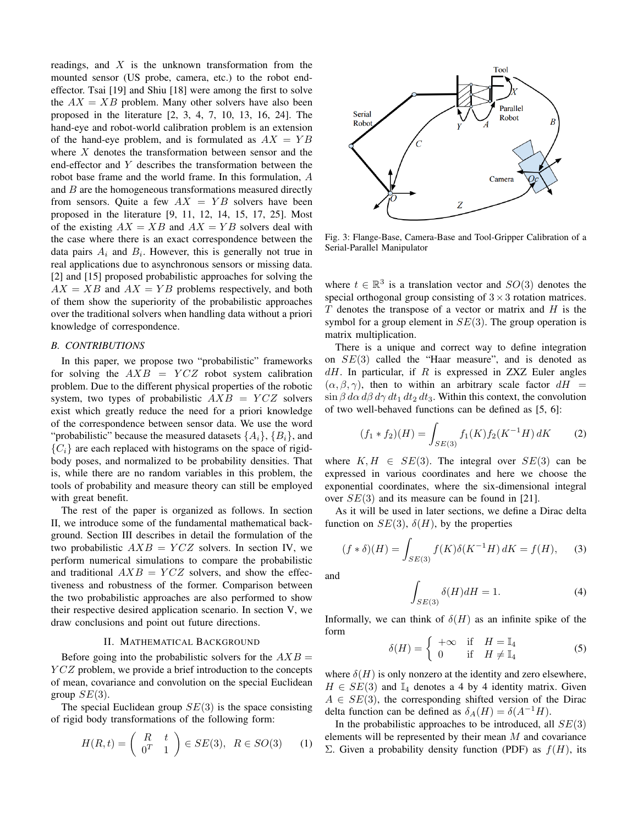readings, and  $X$  is the unknown transformation from the mounted sensor (US probe, camera, etc.) to the robot endeffector. Tsai [\[19\]](#page-8-5) and Shiu [\[18\]](#page-8-6) were among the first to solve the  $AX = XB$  problem. Many other solvers have also been proposed in the literature [\[2,](#page-8-7) [3,](#page-8-8) [4,](#page-8-9) [7,](#page-8-10) [10,](#page-8-11) [13,](#page-8-12) [16,](#page-8-13) [24\]](#page-8-14). The hand-eye and robot-world calibration problem is an extension of the hand-eye problem, and is formulated as  $AX = YB$ where  $X$  denotes the transformation between sensor and the end-effector and Y describes the transformation between the robot base frame and the world frame. In this formulation, A and  $B$  are the homogeneous transformations measured directly from sensors. Quite a few  $AX = YB$  solvers have been proposed in the literature [\[9,](#page-8-15) [11,](#page-8-16) [12,](#page-8-17) [14,](#page-8-18) [15,](#page-8-19) [17,](#page-8-20) [25\]](#page-8-21). Most of the existing  $AX = XB$  and  $AX = YB$  solvers deal with the case where there is an exact correspondence between the data pairs  $A_i$  and  $B_i$ . However, this is generally not true in real applications due to asynchronous sensors or missing data. [\[2\]](#page-8-7) and [\[15\]](#page-8-19) proposed probabilistic approaches for solving the  $AX = XB$  and  $AX = YB$  problems respectively, and both of them show the superiority of the probabilistic approaches over the traditional solvers when handling data without a priori knowledge of correspondence.

## *B. CONTRIBUTIONS*

In this paper, we propose two "probabilistic" frameworks for solving the  $AXB = YCZ$  robot system calibration problem. Due to the different physical properties of the robotic system, two types of probabilistic  $AXB = YCZ$  solvers exist which greatly reduce the need for a priori knowledge of the correspondence between sensor data. We use the word "probabilistic" because the measured datasets  $\{A_i\}$ ,  $\{B_i\}$ , and  ${C_i}$  are each replaced with histograms on the space of rigidbody poses, and normalized to be probability densities. That is, while there are no random variables in this problem, the tools of probability and measure theory can still be employed with great benefit.

The rest of the paper is organized as follows. In section [II,](#page-1-1) we introduce some of the fundamental mathematical background. Section [III](#page-2-0) describes in detail the formulation of the two probabilistic  $AXB = YCZ$  solvers. In section [IV,](#page-5-0) we perform numerical simulations to compare the probabilistic and traditional  $AXB = YCZ$  solvers, and show the effectiveness and robustness of the former. Comparison between the two probabilistic approaches are also performed to show their respective desired application scenario. In section [V,](#page-7-0) we draw conclusions and point out future directions.

#### II. MATHEMATICAL BACKGROUND

<span id="page-1-1"></span>Before going into the probabilistic solvers for the  $AXB =$  $YCZ$  problem, we provide a brief introduction to the concepts of mean, covariance and convolution on the special Euclidean group  $SE(3)$ .

The special Euclidean group  $SE(3)$  is the space consisting of rigid body transformations of the following form:

$$
H(R,t) = \begin{pmatrix} R & t \\ 0^T & 1 \end{pmatrix} \in SE(3), \ R \in SO(3) \qquad (1)
$$

<span id="page-1-0"></span>

Fig. 3: Flange-Base, Camera-Base and Tool-Gripper Calibration of a Serial-Parallel Manipulator

where  $t \in \mathbb{R}^3$  is a translation vector and  $SO(3)$  denotes the special orthogonal group consisting of  $3 \times 3$  rotation matrices.  $T$  denotes the transpose of a vector or matrix and  $H$  is the symbol for a group element in  $SE(3)$ . The group operation is matrix multiplication.

There is a unique and correct way to define integration on SE(3) called the "Haar measure", and is denoted as  $dH$ . In particular, if R is expressed in ZXZ Euler angles  $(\alpha, \beta, \gamma)$ , then to within an arbitrary scale factor  $dH =$  $\sin \beta \, d\alpha \, d\beta \, d\gamma \, dt_1 \, dt_2 \, dt_3$ . Within this context, the convolution of two well-behaved functions can be defined as [\[5,](#page-8-22) [6\]](#page-8-23):

$$
(f_1 * f_2)(H) = \int_{SE(3)} f_1(K) f_2(K^{-1}H) dK \tag{2}
$$

where  $K, H \in SE(3)$ . The integral over  $SE(3)$  can be expressed in various coordinates and here we choose the exponential coordinates, where the six-dimensional integral over  $SE(3)$  and its measure can be found in [\[21\]](#page-8-24).

As it will be used in later sections, we define a Dirac delta function on  $SE(3)$ ,  $\delta(H)$ , by the properties

$$
(f * \delta)(H) = \int_{SE(3)} f(K)\delta(K^{-1}H) dK = f(H),
$$
 (3)

and

$$
\int_{SE(3)} \delta(H)dH = 1.
$$
\n(4)

<span id="page-1-2"></span>Informally, we can think of  $\delta(H)$  as an infinite spike of the form

$$
\delta(H) = \begin{cases}\n+\infty & \text{if } H = \mathbb{I}_4 \\
0 & \text{if } H \neq \mathbb{I}_4\n\end{cases}
$$
\n(5)

where  $\delta(H)$  is only nonzero at the identity and zero elsewhere,  $H \in SE(3)$  and  $\mathbb{I}_4$  denotes a 4 by 4 identity matrix. Given  $A \in SE(3)$ , the corresponding shifted version of the Dirac delta function can be defined as  $\delta_A(H) = \delta(A^{-1}H)$ .

In the probabilistic approaches to be introduced, all  $SE(3)$ elements will be represented by their mean  $M$  and covariance Σ. Given a probability density function (PDF) as  $f(H)$ , its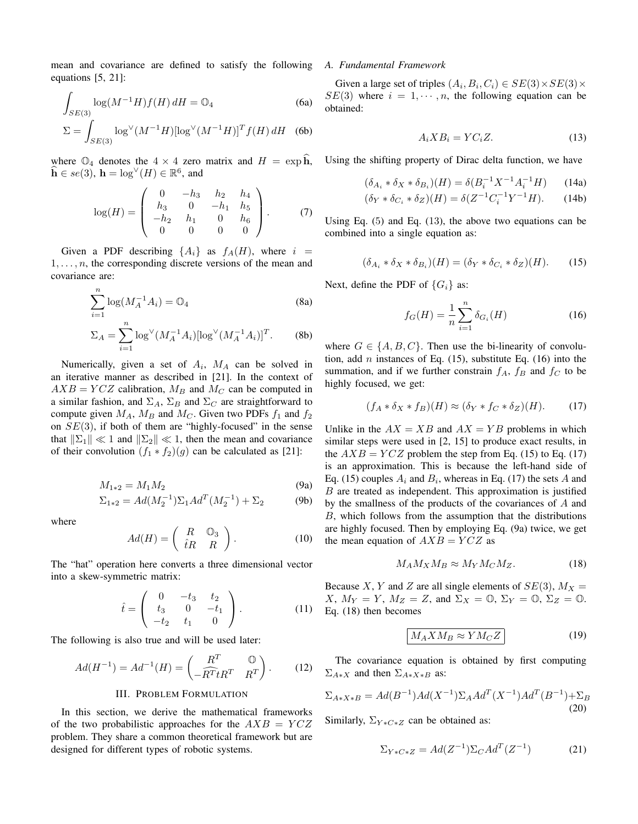mean and covariance are defined to satisfy the following equations [\[5,](#page-8-22) [21\]](#page-8-24):

$$
\int_{SE(3)} \log(M^{-1}H) f(H) \, dH = \mathbb{O}_4 \tag{6a}
$$

$$
\Sigma = \int_{SE(3)} \log^{\vee} (M^{-1}H) [\log^{\vee} (M^{-1}H)]^T f(H) \, dH \quad (6b)
$$

where  $\mathbb{O}_4$  denotes the  $4 \times 4$  zero matrix and  $H = \exp \mathbf{h}$ ,  $\widehat{\mathbf{h}} \in se(3), \ \mathbf{h} = \log^{\vee}(H) \in \mathbb{R}^{6}, \text{ and}$ 

<span id="page-2-5"></span>
$$
\log(H) = \begin{pmatrix} 0 & -h_3 & h_2 & h_4 \\ h_3 & 0 & -h_1 & h_5 \\ -h_2 & h_1 & 0 & h_6 \\ 0 & 0 & 0 & 0 \end{pmatrix}.
$$
 (7)

Given a PDF describing  $\{A_i\}$  as  $f_A(H)$ , where  $i =$  $1, \ldots, n$ , the corresponding discrete versions of the mean and covariance are:

$$
\sum_{i=1}^{n} \log(M_A^{-1} A_i) = \mathbb{O}_4 \tag{8a}
$$

$$
\Sigma_A = \sum_{i=1}^n \log^{\vee} (M_A^{-1} A_i) [\log^{\vee} (M_A^{-1} A_i)]^T.
$$
 (8b)

Numerically, given a set of  $A_i$ ,  $M_A$  can be solved in an iterative manner as described in [\[21\]](#page-8-24). In the context of  $AXB = YCZ$  calibration,  $M_B$  and  $M_C$  can be computed in a similar fashion, and  $\Sigma_A$ ,  $\Sigma_B$  and  $\Sigma_C$  are straightforward to compute given  $M_A$ ,  $M_B$  and  $M_C$ . Given two PDFs  $f_1$  and  $f_2$ on  $SE(3)$ , if both of them are "highly-focused" in the sense that  $\|\Sigma_1\| \ll 1$  and  $\|\Sigma_2\| \ll 1$ , then the mean and covariance of their convolution  $(f_1 * f_2)(g)$  can be calculated as [\[21\]](#page-8-24):

$$
M_{1*2} = M_1 M_2 \tag{9a}
$$

$$
\Sigma_{1*2} = Ad(M_2^{-1})\Sigma_1 Ad^T(M_2^{-1}) + \Sigma_2
$$
 (9b)

where

$$
Ad(H) = \begin{pmatrix} R & \mathbb{O}_3 \\ \hat{t}R & R \end{pmatrix}.
$$
 (10)

The "hat" operation here converts a three dimensional vector into a skew-symmetric matrix:

$$
\hat{t} = \begin{pmatrix} 0 & -t_3 & t_2 \\ t_3 & 0 & -t_1 \\ -t_2 & t_1 & 0 \end{pmatrix}.
$$
 (11)

The following is also true and will be used later:

$$
Ad(H^{-1}) = Ad^{-1}(H) = \begin{pmatrix} R^T & \mathbb{O} \\ -\widehat{R^T}tR^T & R^T \end{pmatrix} . \tag{12}
$$

#### III. PROBLEM FORMULATION

<span id="page-2-0"></span>In this section, we derive the mathematical frameworks of the two probabilistic approaches for the  $AXB = YCZ$ problem. They share a common theoretical framework but are designed for different types of robotic systems.

#### *A. Fundamental Framework*

<span id="page-2-1"></span>Given a large set of triples  $(A_i, B_i, C_i) \in SE(3) \times SE(3) \times$  $SE(3)$  where  $i = 1, \dots, n$ , the following equation can be obtained:

$$
A_i X B_i = Y C_i Z. \tag{13}
$$

Using the shifting property of Dirac delta function, we have

$$
(\delta_{A_i} * \delta_X * \delta_{B_i})(H) = \delta(B_i^{-1}X^{-1}A_i^{-1}H) \tag{14a}
$$

$$
(\delta_Y * \delta_{C_i} * \delta_Z)(H) = \delta(Z^{-1}C_i^{-1}Y^{-1}H). \tag{14b}
$$

<span id="page-2-2"></span>Using Eq. ([5](#page-1-2)) and Eq. ([13](#page-2-1)), the above two equations can be combined into a single equation as:

$$
(\delta_{A_i} * \delta_X * \delta_{B_i})(H) = (\delta_Y * \delta_{C_i} * \delta_Z)(H). \tag{15}
$$

Next, define the PDF of  $\{G_i\}$  as:

<span id="page-2-3"></span>
$$
f_G(H) = \frac{1}{n} \sum_{i=1}^{n} \delta_{G_i}(H)
$$
 (16)

where  $G \in \{A, B, C\}$ . Then use the bi-linearity of convolution, add *n* instances of Eq.  $(15)$ , substitute Eq.  $(16)$  into the summation, and if we further constrain  $f_A$ ,  $f_B$  and  $f_C$  to be highly focused, we get:

<span id="page-2-4"></span>
$$
(f_A * \delta_X * f_B)(H) \approx (\delta_Y * f_C * \delta_Z)(H). \tag{17}
$$

Unlike in the  $AX = XB$  and  $AX = YB$  problems in which similar steps were used in [\[2,](#page-8-7) [15\]](#page-8-19) to produce exact results, in the  $AXB = YCZ$  problem the step from Eq. [\(15\)](#page-2-2) to Eq. [\(17\)](#page-2-4) is an approximation. This is because the left-hand side of Eq. [\(15\)](#page-2-2) couples  $A_i$  and  $B_i$ , whereas in Eq. [\(17\)](#page-2-4) the sets A and  $B$  are treated as independent. This approximation is justified by the smallness of the products of the covariances of A and B, which follows from the assumption that the distributions are highly focused. Then by employing Eq. [\(9a](#page-2-5)) twice, we get the mean equation of  $AXB = YCZ$  as

<span id="page-2-6"></span>
$$
M_A M_X M_B \approx M_Y M_C M_Z. \tag{18}
$$

Because X, Y and Z are all single elements of  $SE(3)$ ,  $M_X =$ X,  $M_Y = Y$ ,  $M_Z = Z$ , and  $\Sigma_X = \mathbb{O}$ ,  $\Sigma_Y = \mathbb{O}$ ,  $\Sigma_Z = \mathbb{O}$ . Eq. [\(18\)](#page-2-6) then becomes

<span id="page-2-7"></span>
$$
M_A X M_B \approx Y M_C Z \tag{19}
$$

The covariance equation is obtained by first computing  $\Sigma_{A*X}$  and then  $\Sigma_{A*X*B}$  as:

$$
\Sigma_{A*X*B} = Ad(B^{-1})Ad(X^{-1})\Sigma_A Ad^T(X^{-1})Ad^T(B^{-1}) + \Sigma_B
$$
\n(20)

<span id="page-2-8"></span>Similarly,  $\Sigma_{Y*C*Z}$  can be obtained as:

$$
\Sigma_{Y*C*Z} = Ad(Z^{-1})\Sigma_C Ad^T(Z^{-1})
$$
 (21)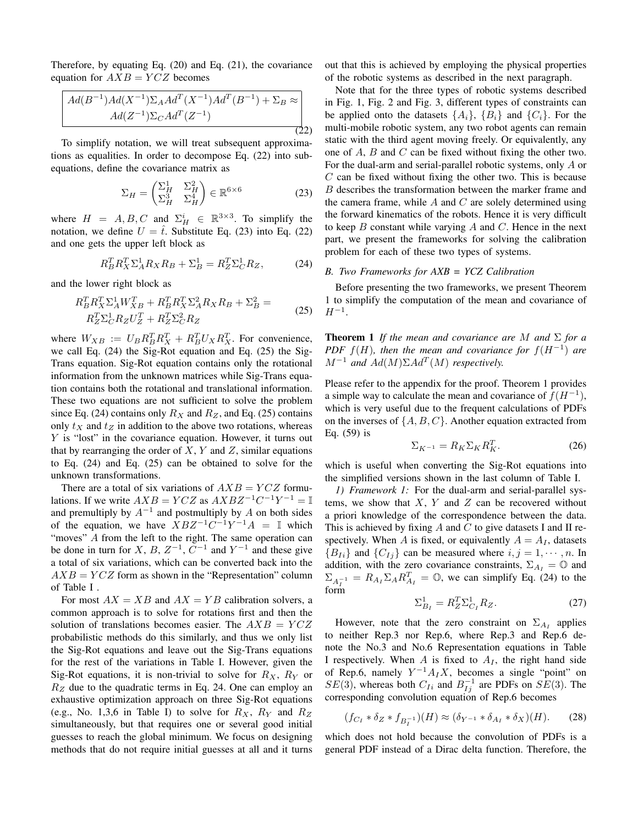Therefore, by equating Eq. [\(20\)](#page-2-7) and Eq. [\(21\)](#page-2-8), the covariance equation for  $AXB = YCZ$  becomes

$$
Ad(B^{-1})Ad(X^{-1})\Sigma_A Ad^T(X^{-1})Ad^T(B^{-1}) + \Sigma_B \approx
$$
  
 
$$
Ad(Z^{-1})\Sigma_C Ad^T(Z^{-1})
$$
 (22)

To simplify notation, we will treat subsequent approximations as equalities. In order to decompose Eq. [\(22\)](#page-3-0) into subequations, define the covariance matrix as

<span id="page-3-2"></span><span id="page-3-1"></span>
$$
\Sigma_H = \begin{pmatrix} \Sigma_H^1 & \Sigma_H^2 \\ \Sigma_H^3 & \Sigma_H^4 \end{pmatrix} \in \mathbb{R}^{6 \times 6} \tag{23}
$$

where  $H = A, B, C$  and  $\Sigma_H^i \in \mathbb{R}^{3 \times 3}$ . To simplify the notation, we define  $U = \hat{t}$ . Substitute Eq. [\(23\)](#page-3-1) into Eq. [\(22\)](#page-3-0) and one gets the upper left block as

<span id="page-3-3"></span>
$$
R_B^T R_X^T \Sigma_A^1 R_X R_B + \Sigma_B^1 = R_Z^T \Sigma_C^1 R_Z, \tag{24}
$$

and the lower right block as

$$
R_A^T R_X^T \Sigma_A^1 W_{XB}^T + R_B^T R_X^T \Sigma_A^2 R_X R_B + \Sigma_B^2 = R_Z^T \Sigma_C^1 R_Z U_Z^T + R_Z^T \Sigma_C^2 R_Z \tag{25}
$$

where  $W_{XB} := U_B R_B^T R_X^T + R_B^T U_X R_X^T$ . For convenience, we call Eq. [\(24\)](#page-3-2) the Sig-Rot equation and Eq. [\(25\)](#page-3-3) the Sig-Trans equation. Sig-Rot equation contains only the rotational information from the unknown matrices while Sig-Trans equation contains both the rotational and translational information. These two equations are not sufficient to solve the problem since Eq. [\(24\)](#page-3-2) contains only  $R_X$  and  $R_Z$ , and Eq. [\(25\)](#page-3-3) contains only  $t_X$  and  $t_Z$  in addition to the above two rotations, whereas Y is "lost" in the covariance equation. However, it turns out that by rearranging the order of  $X, Y$  and  $Z$ , similar equations to Eq. [\(24\)](#page-3-2) and Eq. [\(25\)](#page-3-3) can be obtained to solve for the unknown transformations.

There are a total of six variations of  $AXB = YCZ$  formulations. If we write  $AXB = YCZ$  as  $AXBZ^{-1}C^{-1}Y^{-1} = \mathbb{I}$ and premultiply by  $A^{-1}$  and postmultiply by A on both sides of the equation, we have  $XBZ^{-1}C^{-1}Y^{-1}A = \mathbb{I}$  which "moves" A from the left to the right. The same operation can be done in turn for X, B,  $Z^{-1}$ ,  $C^{-1}$  and  $Y^{-1}$  and these give a total of six variations, which can be converted back into the  $AXB = YCZ$  form as shown in the "Representation" column of Table [I](#page-4-0) .

For most  $AX = XB$  and  $AX = YB$  calibration solvers, a common approach is to solve for rotations first and then the solution of translations becomes easier. The  $AXB = YCZ$ probabilistic methods do this similarly, and thus we only list the Sig-Rot equations and leave out the Sig-Trans equations for the rest of the variations in Table [I.](#page-4-0) However, given the Sig-Rot equations, it is non-trivial to solve for  $R_X$ ,  $R_Y$  or  $R_Z$  due to the quadratic terms in Eq. [24.](#page-3-2) One can employ an exhaustive optimization approach on three Sig-Rot equations (e.g., No. 1,3,6 in Table [I\)](#page-4-0) to solve for  $R_X$ ,  $R_Y$  and  $R_Z$ simultaneously, but that requires one or several good initial guesses to reach the global minimum. We focus on designing methods that do not require initial guesses at all and it turns <span id="page-3-0"></span>out that this is achieved by employing the physical properties of the robotic systems as described in the next paragraph.

Note that for the three types of robotic systems described in Fig. [1,](#page-0-0) Fig. [2](#page-0-1) and Fig. [3,](#page-1-0) different types of constraints can be applied onto the datasets  $\{A_i\}$ ,  $\{B_i\}$  and  $\{C_i\}$ . For the multi-mobile robotic system, any two robot agents can remain static with the third agent moving freely. Or equivalently, any one of A, B and C can be fixed without fixing the other two. For the dual-arm and serial-parallel robotic systems, only A or  $C$  can be fixed without fixing the other two. This is because B describes the transformation between the marker frame and the camera frame, while  $A$  and  $C$  are solely determined using the forward kinematics of the robots. Hence it is very difficult to keep  $B$  constant while varying  $A$  and  $C$ . Hence in the next part, we present the frameworks for solving the calibration problem for each of these two types of systems.

## *B. Two Frameworks for AXB = YCZ Calibration*

Before presenting the two frameworks, we present Theorem 1 to simplify the computation of the mean and covariance of  $H^{-1}$ .

**Theorem 1** *If the mean and covariance are* M *and*  $\Sigma$  *for a PDF*  $f(H)$ , then the mean and covariance for  $f(H^{-1})$  are  $M^{-1}$  and  $Ad(M)\Sigma Ad<sup>T</sup>(M)$  respectively.

Please refer to the appendix for the proof. Theorem 1 provides a simple way to calculate the mean and covariance of  $f(H^{-1})$ , which is very useful due to the frequent calculations of PDFs on the inverses of  $\{A, B, C\}$ . Another equation extracted from Eq. [\(59\)](#page-7-1) is

$$
\Sigma_{K^{-1}} = R_K \Sigma_K R_K^T. \tag{26}
$$

which is useful when converting the Sig-Rot equations into the simplified versions shown in the last column of Table [I.](#page-4-0)

*1) Framework 1:* For the dual-arm and serial-parallel systems, we show that  $X$ ,  $Y$  and  $Z$  can be recovered without a priori knowledge of the correspondence between the data. This is achieved by fixing  $A$  and  $C$  to give datasets I and II respectively. When A is fixed, or equivalently  $A = A<sub>I</sub>$ , datasets  ${B_{Ii}}$  and  ${C_{Ij}}$  can be measured where  $i, j = 1, \dots, n$ . In addition, with the zero covariance constraints,  $\Sigma_{A_I} = \mathbb{O}$  and  $\Sigma_{A^{-1}_{I}} = R_{A_{I}} \Sigma_{A} R_{A_{I}}^{T} = \mathbb{O}$ , we can simplify Eq. [\(24\)](#page-3-2) to the  $\lim_{I \to \infty}$ 

$$
\Sigma_{B_I}^1 = R_Z^T \Sigma_{C_I}^1 R_Z. \tag{27}
$$

<span id="page-3-4"></span>However, note that the zero constraint on  $\Sigma_{A_I}$  applies to neither Rep.3 nor Rep.6, where Rep.3 and Rep.6 denote the No.3 and No.6 Representation equations in Table [I](#page-4-0) respectively. When  $A$  is fixed to  $A<sub>I</sub>$ , the right hand side of Rep.6, namely  $Y^{-1}A_IX$ , becomes a single "point" on  $SE(3)$ , whereas both  $C_{Ii}$  and  $B_{Ij}^{-1}$  are PDFs on  $SE(3)$ . The corresponding convolution equation of Rep.6 becomes

$$
(f_{C_I} * \delta_Z * f_{B_I^{-1}})(H) \approx (\delta_{Y^{-1}} * \delta_{A_I} * \delta_X)(H). \tag{28}
$$

which does not hold because the convolution of PDFs is a general PDF instead of a Dirac delta function. Therefore, the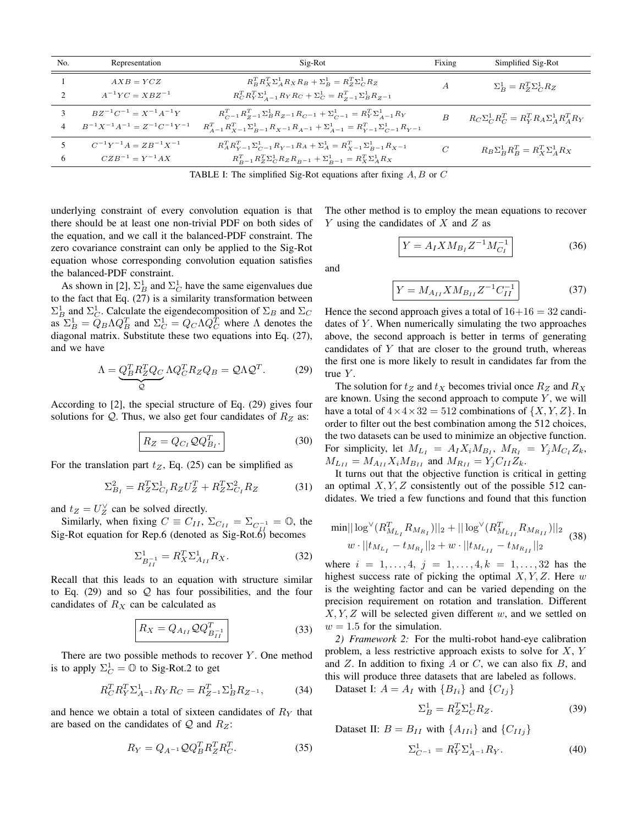<span id="page-4-0"></span>

| No. | Representation                            | Sig-Rot                                                                                                        |                | Simplified Sig-Rot                              |  |
|-----|-------------------------------------------|----------------------------------------------------------------------------------------------------------------|----------------|-------------------------------------------------|--|
|     | $AXB = YCZ$                               | $R_B^T R_X^T \Sigma_A^1 R_X R_B + \Sigma_B^1 = R_Z^T \Sigma_C^1 R_Z$                                           | $\overline{A}$ | $\Sigma_B^1 = R_Z^T \Sigma_C^1 R_Z$             |  |
|     | $A^{-1}YC = XBZ^{-1}$                     | $R_C^T R_Y^T \Sigma_{A-1}^1 R_Y R_C + \Sigma_C^1 = R_{Z-1}^T \Sigma_B^1 R_{Z-1}$                               |                |                                                 |  |
|     | $BZ^{-1}C^{-1} = X^{-1}A^{-1}Y$           | $R_{C^{-1}}^T R_{Z^{-1}}^T \Sigma_B^1 R_{Z^{-1}} R_{C^{-1}} + \Sigma_{C^{-1}}^1 = R_Y^T \Sigma_{A^{-1}}^1 R_Y$ | B              | $R_C\Sigma_C^1R_C^T=R_Y^TR_A\Sigma_A^1R_A^TR_Y$ |  |
|     | $B^{-1}X^{-1}A^{-1} = Z^{-1}C^{-1}Y^{-1}$ | $R_{A-1}^T R_{X-1}^T \Sigma_{B-1}^1 R_{X-1} R_{A-1} + \Sigma_{A-1}^1 = R_{Y-1}^T \Sigma_{C-1}^1 R_{Y-1}$       |                |                                                 |  |
|     | $C^{-1}Y^{-1}A = ZB^{-1}X^{-1}$           | $R_{A}^{T}R_{Y-1}^{T}\Sigma_{C^{-1}}^{1}R_{Y-1}R_{A} + \Sigma_{A}^{1} = R_{X-1}^{T}\Sigma_{B-1}^{1}R_{X-1}$    | $\mathcal{C}$  | $R_B \Sigma_B^1 R_B^T = R_X^T \Sigma_A^1 R_X$   |  |
| 6   | $CZB^{-1} = Y^{-1}AX$                     | $R_{B-1}^T R_Z^T \Sigma_C^1 R_Z R_{B-1} + \Sigma_{B-1}^1 = R_X^T \Sigma_A^1 R_X$                               |                |                                                 |  |

TABLE I: The simplified Sig-Rot equations after fixing  $A, B$  or  $C$ 

underlying constraint of every convolution equation is that there should be at least one non-trivial PDF on both sides of the equation, and we call it the balanced-PDF constraint. The zero covariance constraint can only be applied to the Sig-Rot equation whose corresponding convolution equation satisfies the balanced-PDF constraint.

As shown in [\[2\]](#page-8-7),  $\Sigma_B^1$  and  $\Sigma_C^1$  have the same eigenvalues due to the fact that Eq. [\(27\)](#page-3-4) is a similarity transformation between  $\Sigma_B^1$  and  $\Sigma_C^1$ . Calculate the eigendecomposition of  $\Sigma_B$  and  $\Sigma_C$ as  $\Sigma_B^1 = \overline{Q}_B \Lambda Q_B^T$  and  $\Sigma_C^1 = Q_C \Lambda Q_C^T$  where  $\Lambda$  denotes the diagonal matrix. Substitute these two equations into Eq. [\(27\)](#page-3-4), and we have

<span id="page-4-1"></span>
$$
\Lambda = Q_B^T R_Z^T Q_C \Lambda Q_C^T R_Z Q_B = Q \Lambda Q^T.
$$
 (29)

According to [\[2\]](#page-8-7), the special structure of Eq. [\(29\)](#page-4-1) gives four solutions for  $Q$ . Thus, we also get four candidates of  $R_Z$  as:

$$
R_Z = Q_{C_I} Q Q_{B_I}^T.
$$
\n(30)

For the translation part  $t_Z$ , Eq. [\(25\)](#page-3-3) can be simplified as

$$
\Sigma_{B_I}^2 = R_Z^T \Sigma_{C_I}^1 R_Z U_Z^T + R_Z^T \Sigma_{C_I}^2 R_Z \tag{31}
$$

and  $t_Z = U_Z^{\vee}$  can be solved directly.

Similarly, when fixing  $C \equiv C_{II}$ ,  $\Sigma_{C_{II}} = \Sigma_{C_{II}^{-1}} = \mathbb{O}$ , the Sig-Rot equation for Rep.6 (denoted as Sig-Rot.6) becomes

$$
\Sigma_{B_{II}^{-1}}^1 = R_X^T \Sigma_{A_{II}}^1 R_X.
$$
 (32)

Recall that this leads to an equation with structure similar to Eq.  $(29)$  and so  $Q$  has four possibilities, and the four candidates of  $R_X$  can be calculated as

$$
R_X = Q_{A_{II}} Q Q_{B_{II}}^T
$$
 (33)

There are two possible methods to recover  $Y$ . One method is to apply  $\Sigma_C^1 = \mathbb{O}$  to Sig-Rot.2 to get

$$
R_C^T R_Y^T \Sigma_{A^{-1}}^1 R_Y R_C = R_{Z^{-1}}^T \Sigma_B^1 R_{Z^{-1}},\tag{34}
$$

and hence we obtain a total of sixteen candidates of  $R<sub>Y</sub>$  that are based on the candidates of  $Q$  and  $R_Z$ :

$$
R_Y = Q_{A^{-1}} \mathcal{Q} Q_B^T R_Z^T R_C^T. \tag{35}
$$

The other method is to employ the mean equations to recover Y using the candidates of  $X$  and  $Z$  as

$$
Y = A_I X M_{B_I} Z^{-1} M_{C_I}^{-1}
$$
 (36)

and

$$
Y = M_{A_{II}} X M_{B_{II}} Z^{-1} C_{II}^{-1}
$$
 (37)

Hence the second approach gives a total of  $16+16 = 32$  candidates of  $Y$ . When numerically simulating the two approaches above, the second approach is better in terms of generating candidates of  $Y$  that are closer to the ground truth, whereas the first one is more likely to result in candidates far from the true  $Y$ .

The solution for  $t_Z$  and  $t_X$  becomes trivial once  $R_Z$  and  $R_X$ are known. Using the second approach to compute  $Y$ , we will have a total of  $4 \times 4 \times 32 = 512$  combinations of  $\{X, Y, Z\}$ . In order to filter out the best combination among the 512 choices, the two datasets can be used to minimize an objective function. For simplicity, let  $M_{L_I} = A_I X_i M_{B_I}$ ,  $M_{R_I} = Y_j M_{C_I} Z_k$ ,  $M_{L_{II}} = M_{A_{II}} X_i M_{B_{II}}$  and  $M_{R_{II}} = Y_j C_{II} Z_k$ .

It turns out that the objective function is critical in getting an optimal  $X, Y, Z$  consistently out of the possible 512 candidates. We tried a few functions and found that this function

$$
\min || \log^{\vee} (R_{M_{L_I}}^T R_{M_{R_I}}) ||_2 + || \log^{\vee} (R_{M_{L_{II}}}^T R_{M_{R_{II}}}) ||_2
$$
  

$$
w \cdot || t_{M_{L_I}} - t_{M_{R_I}} ||_2 + w \cdot || t_{M_{L_{II}}} - t_{M_{R_{II}}} ||_2
$$
 (38)

where  $i = 1, ..., 4, j = 1, ..., 4, k = 1, ..., 32$  has the highest success rate of picking the optimal  $X, Y, Z$ . Here w is the weighting factor and can be varied depending on the precision requirement on rotation and translation. Different  $X, Y, Z$  will be selected given different w, and we settled on  $w = 1.5$  for the simulation.

*2) Framework 2:* For the multi-robot hand-eye calibration problem, a less restrictive approach exists to solve for  $X, Y$ and  $Z$ . In addition to fixing  $A$  or  $C$ , we can also fix  $B$ , and this will produce three datasets that are labeled as follows.

Dataset I:  $A = A_I$  with  $\{B_{Ii}\}\$  and  $\{C_{Ij}\}\$ 

$$
\Sigma_B^1 = R_Z^T \Sigma_C^1 R_Z. \tag{39}
$$

Dataset II:  $B = B_{II}$  with  $\{A_{IIi}\}\$  and  $\{C_{IIj}\}\$ 

$$
\Sigma_{C^{-1}}^1 = R_Y^T \Sigma_{A^{-1}}^1 R_Y. \tag{40}
$$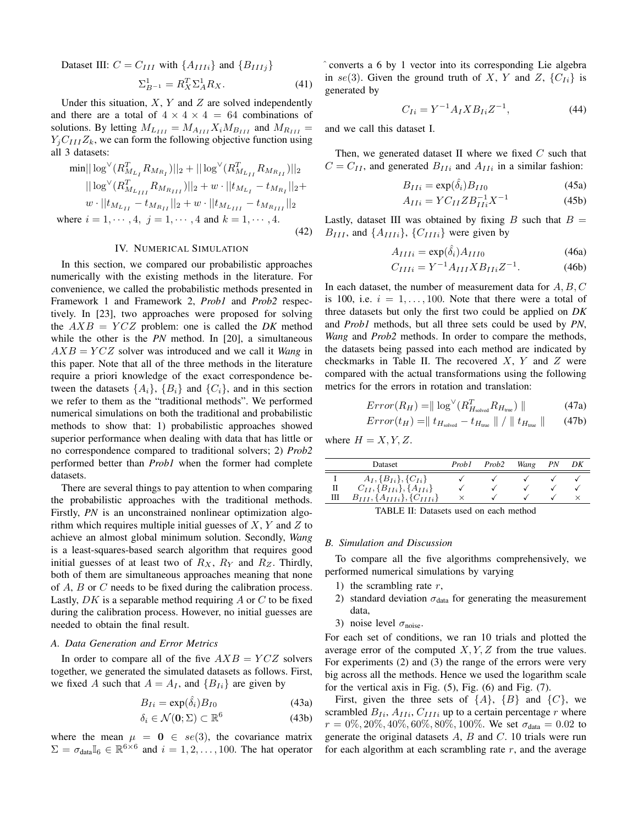Dataset III:  $C = C_{III}$  with  $\{A_{IIIi}\}$  and  $\{B_{IIIj}\}$ 

$$
\Sigma_{B^{-1}}^1 = R_X^T \Sigma_A^1 R_X. \tag{41}
$$

Under this situation,  $X$ ,  $Y$  and  $Z$  are solved independently and there are a total of  $4 \times 4 \times 4 = 64$  combinations of solutions. By letting  $M_{L_{III}} = M_{A_{III}} X_i M_{B_{III}}$  and  $M_{R_{III}} =$  $Y_iC_{III}Z_k$ , we can form the following objective function using all 3 datasets:

$$
\min || \log^{\vee} (R_{M_{L_I}}^T R_{M_{R_I}})||_2 + || \log^{\vee} (R_{M_{L_{II}}}^T R_{M_{R_{II}}})||_2
$$
  
\n
$$
|| \log^{\vee} (R_{M_{L_{III}}}^T R_{M_{R_{III}}})||_2 + w \cdot ||t_{M_{L_I}} - t_{M_{R_I}}||_2 + w \cdot ||t_{M_{L_{II}}} - t_{M_{R_{III}}}||_2
$$
  
\n
$$
w \cdot ||t_{M_{L_{II}}} - t_{M_{R_{II}}}||_2 + w \cdot ||t_{M_{L_{III}}} - t_{M_{R_{III}}}||_2
$$
  
\nwhere  $i = 1, \dots, 4, j = 1, \dots, 4$  and  $k = 1, \dots, 4$ . (42)

#### IV. NUMERICAL SIMULATION

<span id="page-5-0"></span>In this section, we compared our probabilistic approaches numerically with the existing methods in the literature. For convenience, we called the probabilistic methods presented in Framework 1 and Framework 2, *Prob1* and *Prob2* respectively. In [\[23\]](#page-8-2), two approaches were proposed for solving the  $AXB = YCZ$  problem: one is called the *DK* method while the other is the *PN* method. In [\[20\]](#page-8-0), a simultaneous  $AXB = YCZ$  solver was introduced and we call it *Wang* in this paper. Note that all of the three methods in the literature require a priori knowledge of the exact correspondence between the datasets  $\{A_i\}$ ,  $\{B_i\}$  and  $\{C_i\}$ , and in this section we refer to them as the "traditional methods". We performed numerical simulations on both the traditional and probabilistic methods to show that: 1) probabilistic approaches showed superior performance when dealing with data that has little or no correspondence compared to traditional solvers; 2) *Prob2* performed better than *Prob1* when the former had complete datasets.

There are several things to pay attention to when comparing the probabilistic approaches with the traditional methods. Firstly, *PN* is an unconstrained nonlinear optimization algorithm which requires multiple initial guesses of  $X, Y$  and  $Z$  to achieve an almost global minimum solution. Secondly, *Wang* is a least-squares-based search algorithm that requires good initial guesses of at least two of  $R_X$ ,  $R_Y$  and  $R_Z$ . Thirdly, both of them are simultaneous approaches meaning that none of A, B or C needs to be fixed during the calibration process. Lastly,  $DK$  is a separable method requiring  $A$  or  $C$  to be fixed during the calibration process. However, no initial guesses are needed to obtain the final result.

## *A. Data Generation and Error Metrics*

In order to compare all of the five  $AXB = YCZ$  solvers together, we generated the simulated datasets as follows. First, we fixed A such that  $A = A_I$ , and  $\{B_{I_i}\}\$ are given by

$$
B_{Ii} = \exp(\hat{\delta}_i) B_{I0} \tag{43a}
$$

$$
\delta_i \in \mathcal{N}(\mathbf{0}; \Sigma) \subset \mathbb{R}^6 \tag{43b}
$$

where the mean  $\mu = 0 \in se(3)$ , the covariance matrix  $\Sigma = \sigma_{data} \mathbb{I}_6 \in \mathbb{R}^{6 \times 6}$  and  $i = 1, 2, ..., 100$ . The hat operator ˆ converts a 6 by 1 vector into its corresponding Lie algebra in se(3). Given the ground truth of X, Y and Z,  $\{C_{Ii}\}\$ is generated by

$$
C_{Ii} = Y^{-1} A_I X B_{Ii} Z^{-1}, \t\t(44)
$$

and we call this dataset I.

Then, we generated dataset II where we fixed  $C$  such that  $C = C_{II}$ , and generated  $B_{IIi}$  and  $A_{IIi}$  in a similar fashion:

$$
B_{IIi} = \exp(\hat{\delta}_i) B_{II0}
$$
 (45a)

$$
A_{IIi} = Y C_{II} Z B_{IIi}^{-1} X^{-1}
$$
 (45b)

Lastly, dataset III was obtained by fixing B such that  $B =$  $B_{III}$ , and  $\{A_{IIIi}\}\$ ,  $\{C_{IIIi}\}\$  were given by

$$
A_{IIIi} = \exp(\hat{\delta}_i) A_{III0}
$$
 (46a)

$$
C_{IIIi} = Y^{-1} A_{III} X B_{IIi} Z^{-1}.
$$
 (46b)

In each dataset, the number of measurement data for  $A, B, C$ is 100, i.e.  $i = 1, \ldots, 100$ . Note that there were a total of three datasets but only the first two could be applied on *DK* and *Prob1* methods, but all three sets could be used by *PN*, *Wang* and *Prob2* methods. In order to compare the methods, the datasets being passed into each method are indicated by checkmarks in Table [II.](#page-5-1) The recovered  $X$ ,  $Y$  and  $Z$  were compared with the actual transformations using the following metrics for the errors in rotation and translation:

$$
Error(R_H) = || \log^{\vee} (R_{H_{\text{solved}}}^T R_{H_{\text{true}}}) ||
$$
\n(47a)

$$
Error(t_H) = ||t_{H_{\text{solved}}} - t_{H_{\text{true}}}|| / ||t_{H_{\text{true}}}|| \qquad (47b)
$$

where  $H = X, Y, Z$ .

<span id="page-5-1"></span>

|   | Dataset                               | Prob1 | Prob2 | Wang | PN | DК |
|---|---------------------------------------|-------|-------|------|----|----|
|   | $A_I, \{B_{Ii}\}, \{C_{Ii}\}\$        |       |       |      |    |    |
| П | $C_{II}, \{B_{IIi}\}, \{A_{IIi}\}\$   |       |       |      |    |    |
| Ш | $B_{III}, \{A_{IIIi}\}, \{C_{IIIi}\}$ |       |       |      |    |    |
|   |                                       |       |       |      |    |    |

TABLE II: Datasets used on each method

#### *B. Simulation and Discussion*

To compare all the five algorithms comprehensively, we performed numerical simulations by varying

- 1) the scrambling rate  $r$ ,
- 2) standard deviation  $\sigma_{data}$  for generating the measurement data,
- 3) noise level  $\sigma_{noise}$ .

For each set of conditions, we ran 10 trials and plotted the average error of the computed  $X, Y, Z$  from the true values. For experiments (2) and (3) the range of the errors were very big across all the methods. Hence we used the logarithm scale for the vertical axis in Fig. [\(5\)](#page-6-0), Fig. [\(6\)](#page-6-1) and Fig. [\(7\)](#page-6-2).

First, given the three sets of  $\{A\}$ ,  $\{B\}$  and  $\{C\}$ , we scrambled  $B_{Ii}$ ,  $A_{IIi}$ ,  $C_{IIIi}$  up to a certain percentage r where  $r = 0\%, 20\%, 40\%, 60\%, 80\%, 100\%$ . We set  $\sigma_{data} = 0.02$  to generate the original datasets  $A$ ,  $B$  and  $C$ . 10 trials were run for each algorithm at each scrambling rate  $r$ , and the average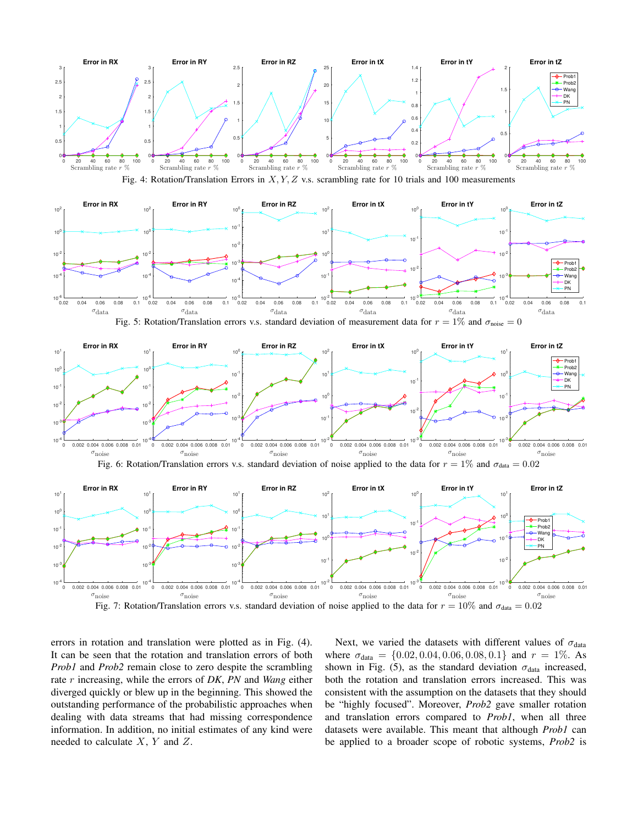<span id="page-6-3"></span>



<span id="page-6-0"></span>

<span id="page-6-1"></span>

<span id="page-6-2"></span>

errors in rotation and translation were plotted as in Fig. [\(4\)](#page-6-3). It can be seen that the rotation and translation errors of both *Prob1* and *Prob2* remain close to zero despite the scrambling rate r increasing, while the errors of *DK*, *PN* and *Wang* either diverged quickly or blew up in the beginning. This showed the outstanding performance of the probabilistic approaches when dealing with data streams that had missing correspondence information. In addition, no initial estimates of any kind were needed to calculate  $X$ ,  $Y$  and  $Z$ .

Next, we varied the datasets with different values of  $\sigma_{data}$ where  $\sigma_{data} = \{0.02, 0.04, 0.06, 0.08, 0.1\}$  and  $r = 1\%$ . As shown in Fig. [\(5\)](#page-6-0), as the standard deviation  $\sigma_{data}$  increased, both the rotation and translation errors increased. This was consistent with the assumption on the datasets that they should be "highly focused". Moreover, *Prob2* gave smaller rotation and translation errors compared to *Prob1*, when all three datasets were available. This meant that although *Prob1* can be applied to a broader scope of robotic systems, *Prob2* is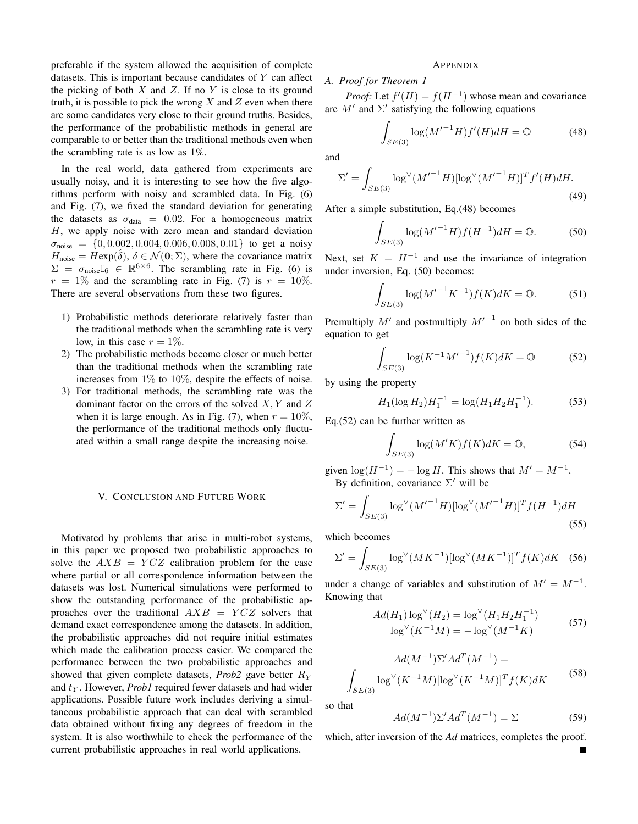preferable if the system allowed the acquisition of complete datasets. This is important because candidates of  $Y$  can affect the picking of both  $X$  and  $Z$ . If no  $Y$  is close to its ground truth, it is possible to pick the wrong  $X$  and  $Z$  even when there are some candidates very close to their ground truths. Besides, the performance of the probabilistic methods in general are comparable to or better than the traditional methods even when the scrambling rate is as low as 1%.

In the real world, data gathered from experiments are usually noisy, and it is interesting to see how the five algorithms perform with noisy and scrambled data. In Fig. [\(6\)](#page-6-1) and Fig. [\(7\)](#page-6-2), we fixed the standard deviation for generating the datasets as  $\sigma_{data} = 0.02$ . For a homogeneous matrix H, we apply noise with zero mean and standard deviation  $\sigma_{\text{noise}} = \{0, 0.002, 0.004, 0.006, 0.008, 0.01\}$  to get a noisy  $H_{\text{noise}} = \hat{H} \exp(\hat{\delta}), \ \delta \in \mathcal{N}(\mathbf{0}; \Sigma)$ , where the covariance matrix  $\Sigma = \sigma_{noise} \mathbb{I}_6 \in \mathbb{R}^{6 \times 6}$ . The scrambling rate in Fig. [\(6\)](#page-6-1) is  $r = 1\%$  and the scrambling rate in Fig. [\(7\)](#page-6-2) is  $r = 10\%$ . There are several observations from these two figures.

- 1) Probabilistic methods deteriorate relatively faster than the traditional methods when the scrambling rate is very low, in this case  $r = 1\%$ .
- 2) The probabilistic methods become closer or much better than the traditional methods when the scrambling rate increases from  $1\%$  to  $10\%$ , despite the effects of noise.
- 3) For traditional methods, the scrambling rate was the dominant factor on the errors of the solved  $X, Y$  and  $Z$ when it is large enough. As in Fig. [\(7\)](#page-6-2), when  $r = 10\%$ , the performance of the traditional methods only fluctuated within a small range despite the increasing noise.

#### <span id="page-7-0"></span>V. CONCLUSION AND FUTURE WORK

Motivated by problems that arise in multi-robot systems, in this paper we proposed two probabilistic approaches to solve the  $AXB = YCZ$  calibration problem for the case where partial or all correspondence information between the datasets was lost. Numerical simulations were performed to show the outstanding performance of the probabilistic approaches over the traditional  $AXB = YCZ$  solvers that demand exact correspondence among the datasets. In addition, the probabilistic approaches did not require initial estimates which made the calibration process easier. We compared the performance between the two probabilistic approaches and showed that given complete datasets, *Prob2* gave better R<sup>Y</sup> and  $t_Y$ . However, *Prob1* required fewer datasets and had wider applications. Possible future work includes deriving a simultaneous probabilistic approach that can deal with scrambled data obtained without fixing any degrees of freedom in the system. It is also worthwhile to check the performance of the current probabilistic approaches in real world applications.

## <span id="page-7-2"></span>APPENDIX

## *A. Proof for Theorem 1*

*Proof:* Let  $f'(H) = f(H^{-1})$  whose mean and covariance are  $M'$  and  $\Sigma'$  satisfying the following equations

$$
\int_{SE(3)} \log(M'^{-1}H) f'(H) dH = \mathbb{O}
$$
 (48)

and

$$
\Sigma' = \int_{SE(3)} \log^{\vee} (M'^{-1}H) [\log^{\vee} (M'^{-1}H)]^T f'(H) dH.
$$
\n(49)

After a simple substitution, Eq.[\(48\)](#page-7-2) becomes

<span id="page-7-3"></span>
$$
\int_{SE(3)} \log(M'^{-1}H)f(H^{-1})dH = 0.
$$
 (50)

Next, set  $K = H^{-1}$  and use the invariance of integration under inversion, Eq. [\(50\)](#page-7-3) becomes:

$$
\int_{SE(3)} \log(M'^{-1}K^{-1}) f(K) dK = \mathbb{O}.
$$
 (51)

Premultiply  $M'$  and postmultiply  $M'^{-1}$  on both sides of the equation to get

<span id="page-7-4"></span>
$$
\int_{SE(3)} \log(K^{-1}M'^{-1}) f(K) dK = \mathbb{O}
$$
 (52)

by using the property

$$
H_1(\log H_2)H_1^{-1} = \log(H_1 H_2 H_1^{-1}).
$$
\n(53)

Eq.[\(52\)](#page-7-4) can be further written as

$$
\int_{SE(3)} \log(M'K) f(K) dK = \mathbb{O},\tag{54}
$$

given  $\log(H^{-1}) = -\log H$ . This shows that  $M' = M^{-1}$ . By definition, covariance  $\Sigma'$  will be

$$
\Sigma' = \int_{SE(3)} \log^{\vee} (M'^{-1}H) [\log^{\vee} (M'^{-1}H)]^T f(H^{-1}) dH
$$
\n(55)

which becomes

$$
\Sigma' = \int_{SE(3)} \log^{\vee} (MK^{-1}) [\log^{\vee} (MK^{-1})]^T f(K) dK \quad (56)
$$

under a change of variables and substitution of  $M' = M^{-1}$ . Knowing that

$$
Ad(H_1) \log^{\vee}(H_2) = \log^{\vee}(H_1 H_2 H_1^{-1})
$$
  

$$
\log^{\vee}(K^{-1}M) = -\log^{\vee}(M^{-1}K)
$$
 (57)

$$
Ad(M^{-1})\Sigma' Ad^{T}(M^{-1}) =
$$
  

$$
\int_{SE(3)} \log^{\vee} (K^{-1}M)[\log^{\vee} (K^{-1}M)]^{T} f(K) dK
$$
 (58)

<span id="page-7-1"></span>so that

$$
Ad(M^{-1})\Sigma' Ad^T(M^{-1}) = \Sigma
$$
 (59)

which, after inversion of the *Ad* matrices, completes the proof.